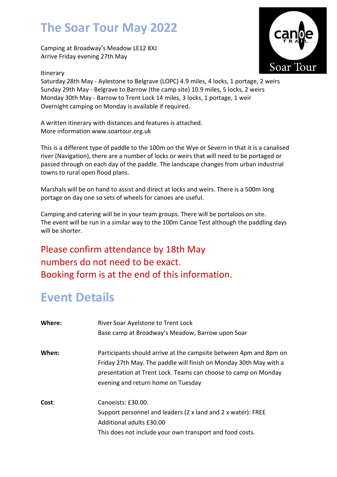## The Soar Tour May 2022

Camping at Broadway's Meadow LE12 8XJ Arrive Friday evening 27th May

#### Itinerary



Saturday 28th May - Aylestone to Belgrave (LOPC) 4.9 miles, 4 locks, 1 portage, 2 weirs Sunday 29th May - Belgrave to Barrow (the camp site) 10.9 miles, 5 locks, 2 weirs Monday 30th May - Barrow to Trent Lock 14 miles, 3 locks, 1 portage, 1 weir Overnight camping on Monday is available if required.

A written itinerary with distances and features is attached. More information www.soartour.org.uk

This is a different type of paddle to the 100m on the Wye or Severn in that it is a canalised river (Navigation), there are a number of locks or weirs that will need to be portaged or passed through on each day of the paddle. The landscape changes from urban industrial towns to rural open flood plans.

Marshals will be on hand to assist and direct at locks and weirs. There is a 500m long portage on day one so sets of wheels for canoes are useful.

Camping and catering will be in your team groups. There will be portaloos on site. The event will be run in a similar way to the 100m Canoe Test although the paddling days will be shorter.

#### Please confirm attendance by 18th May numbers do not need to be exact. Booking form is at the end of this information.

## Event Details

| Where: | River Soar Ayelstone to Trent Lock<br>Base camp at Broadway's Meadow, Barrow upon Soar                                                                                                                                                         |
|--------|------------------------------------------------------------------------------------------------------------------------------------------------------------------------------------------------------------------------------------------------|
| When:  | Participants should arrive at the campsite between 4pm and 8pm on<br>Friday 27th May. The paddle will finish on Monday 30th May with a<br>presentation at Trent Lock. Teams can choose to camp on Monday<br>evening and return home on Tuesday |
| Cost:  | Canoeists: £30.00.<br>Support personnel and leaders (2 x land and 2 x water): FREE<br>Additional adults £30.00<br>This does not include your own transport and food costs.                                                                     |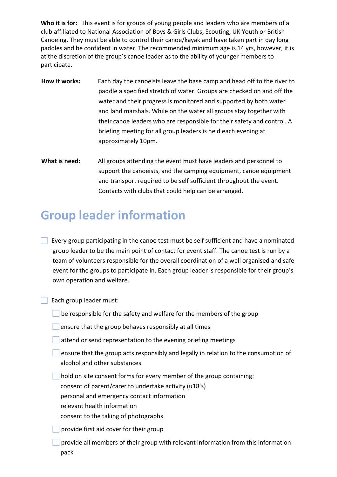Who it is for: This event is for groups of young people and leaders who are members of a club affiliated to National Association of Boys & Girls Clubs, Scouting, UK Youth or British Canoeing. They must be able to control their canoe/kayak and have taken part in day long paddles and be confident in water. The recommended minimum age is 14 yrs, however, it is at the discretion of the group's canoe leader as to the ability of younger members to participate.

- How it works: Each day the canoeists leave the base camp and head off to the river to paddle a specified stretch of water. Groups are checked on and off the water and their progress is monitored and supported by both water and land marshals. While on the water all groups stay together with their canoe leaders who are responsible for their safety and control. A briefing meeting for all group leaders is held each evening at approximately 10pm.
- What is need: All groups attending the event must have leaders and personnel to support the canoeists, and the camping equipment, canoe equipment and transport required to be self sufficient throughout the event. Contacts with clubs that could help can be arranged.

## Group leader information

Every group participating in the canoe test must be self sufficient and have a nominated group leader to be the main point of contact for event staff. The canoe test is run by a team of volunteers responsible for the overall coordination of a well organised and safe event for the groups to participate in. Each group leader is responsible for their group's own operation and welfare.

 $\Box$  Each group leader must:

- $\Box$  be responsible for the safety and welfare for the members of the group
- ensure that the group behaves responsibly at all times
- attend or send representation to the evening briefing meetings
- **Example 1** ensure that the group acts responsibly and legally in relation to the consumption of alcohol and other substances

 hold on site consent forms for every member of the group containing: consent of parent/carer to undertake activity (u18's) personal and emergency contact information relevant health information

consent to the taking of photographs

- provide first aid cover for their group
- provide all members of their group with relevant information from this information pack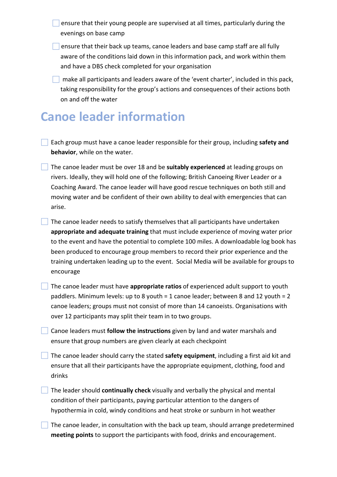ensure that their young people are supervised at all times, particularly during the evenings on base camp

 $\Box$  ensure that their back up teams, canoe leaders and base camp staff are all fully aware of the conditions laid down in this information pack, and work within them and have a DBS check completed for your organisation

 $\Box$  make all participants and leaders aware of the 'event charter', included in this pack, taking responsibility for the group's actions and consequences of their actions both on and off the water

## Canoe leader information

 Each group must have a canoe leader responsible for their group, including safety and behavior, while on the water.

The canoe leader must be over 18 and be suitably experienced at leading groups on rivers. Ideally, they will hold one of the following; British Canoeing River Leader or a Coaching Award. The canoe leader will have good rescue techniques on both still and moving water and be confident of their own ability to deal with emergencies that can arise.

 The canoe leader needs to satisfy themselves that all participants have undertaken appropriate and adequate training that must include experience of moving water prior to the event and have the potential to complete 100 miles. A downloadable log book has been produced to encourage group members to record their prior experience and the training undertaken leading up to the event. Social Media will be available for groups to encourage

The canoe leader must have **appropriate ratios** of experienced adult support to youth paddlers. Minimum levels: up to 8 youth = 1 canoe leader; between 8 and 12 youth = 2 canoe leaders; groups must not consist of more than 14 canoeists. Organisations with over 12 participants may split their team in to two groups.

**Canoe leaders must follow the instructions** given by land and water marshals and ensure that group numbers are given clearly at each checkpoint

The canoe leader should carry the stated safety equipment, including a first aid kit and ensure that all their participants have the appropriate equipment, clothing, food and drinks

 $\Box$  The leader should **continually check** visually and verbally the physical and mental condition of their participants, paying particular attention to the dangers of hypothermia in cold, windy conditions and heat stroke or sunburn in hot weather

 The canoe leader, in consultation with the back up team, should arrange predetermined meeting points to support the participants with food, drinks and encouragement.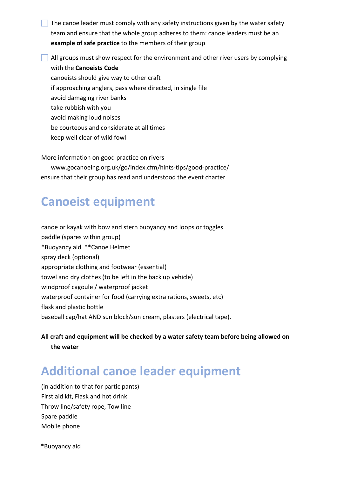The canoe leader must comply with any safety instructions given by the water safety team and ensure that the whole group adheres to them: canoe leaders must be an example of safe practice to the members of their group

 All groups must show respect for the environment and other river users by complying with the Canoeists Code canoeists should give way to other craft if approaching anglers, pass where directed, in single file avoid damaging river banks take rubbish with you avoid making loud noises be courteous and considerate at all times keep well clear of wild fowl

More information on good practice on rivers

www.gocanoeing.org.uk/go/index.cfm/hints-tips/good-practice/ ensure that their group has read and understood the event charter

### Canoeist equipment

canoe or kayak with bow and stern buoyancy and loops or toggles paddle (spares within group) \*Buoyancy aid \*\*Canoe Helmet spray deck (optional) appropriate clothing and footwear (essential) towel and dry clothes (to be left in the back up vehicle) windproof cagoule / waterproof jacket waterproof container for food (carrying extra rations, sweets, etc) flask and plastic bottle baseball cap/hat AND sun block/sun cream, plasters (electrical tape).

All craft and equipment will be checked by a water safety team before being allowed on the water

### Additional canoe leader equipment

(in addition to that for participants) First aid kit, Flask and hot drink Throw line/safety rope, Tow line Spare paddle Mobile phone

\*Buoyancy aid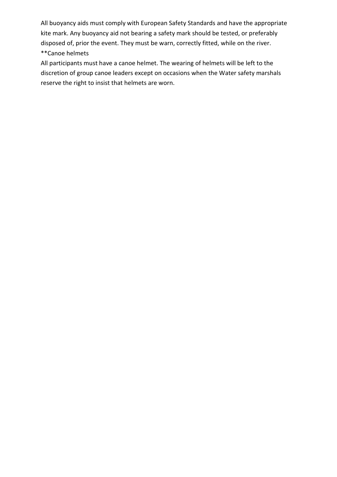All buoyancy aids must comply with European Safety Standards and have the appropriate kite mark. Any buoyancy aid not bearing a safety mark should be tested, or preferably disposed of, prior the event. They must be warn, correctly fitted, while on the river. \*\*Canoe helmets

All participants must have a canoe helmet. The wearing of helmets will be left to the discretion of group canoe leaders except on occasions when the Water safety marshals reserve the right to insist that helmets are worn.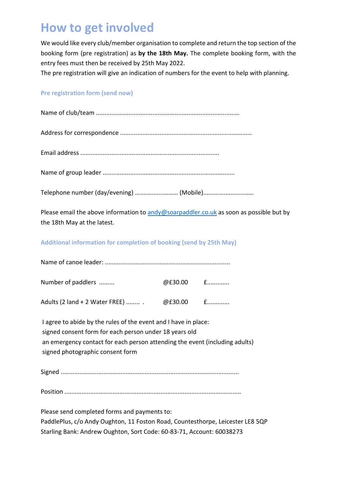## How to get involved

We would like every club/member organisation to complete and return the top section of the booking form (pre registration) as by the 18th May. The complete booking form, with the entry fees must then be received by 25th May 2022.

The pre registration will give an indication of numbers for the event to help with planning.

#### Pre registration form (send now)

| Telephone number (day/evening)  (Mobile)                                                                                                                                                                                                     |           |  |  |  |  |  |  |
|----------------------------------------------------------------------------------------------------------------------------------------------------------------------------------------------------------------------------------------------|-----------|--|--|--|--|--|--|
| Please email the above information to andy@soarpaddler.co.uk as soon as possible but by<br>the 18th May at the latest.                                                                                                                       |           |  |  |  |  |  |  |
| Additional information for completion of booking (send by 25th May)                                                                                                                                                                          |           |  |  |  |  |  |  |
|                                                                                                                                                                                                                                              |           |  |  |  |  |  |  |
| Number of paddlers                                                                                                                                                                                                                           | @£30.00 £ |  |  |  |  |  |  |
| Adults (2 land + 2 Water FREE)  . @£30.00 f                                                                                                                                                                                                  |           |  |  |  |  |  |  |
| I agree to abide by the rules of the event and I have in place:<br>signed consent form for each person under 18 years old<br>an emergency contact for each person attending the event (including adults)<br>signed photographic consent form |           |  |  |  |  |  |  |

Signed ........................................................................................................

Position .......................................................................................................

Please send completed forms and payments to: PaddlePlus, c/o Andy Oughton, 11 Foston Road, Countesthorpe, Leicester LE8 5QP Starling Bank: Andrew Oughton, Sort Code: 60-83-71, Account: 60038273